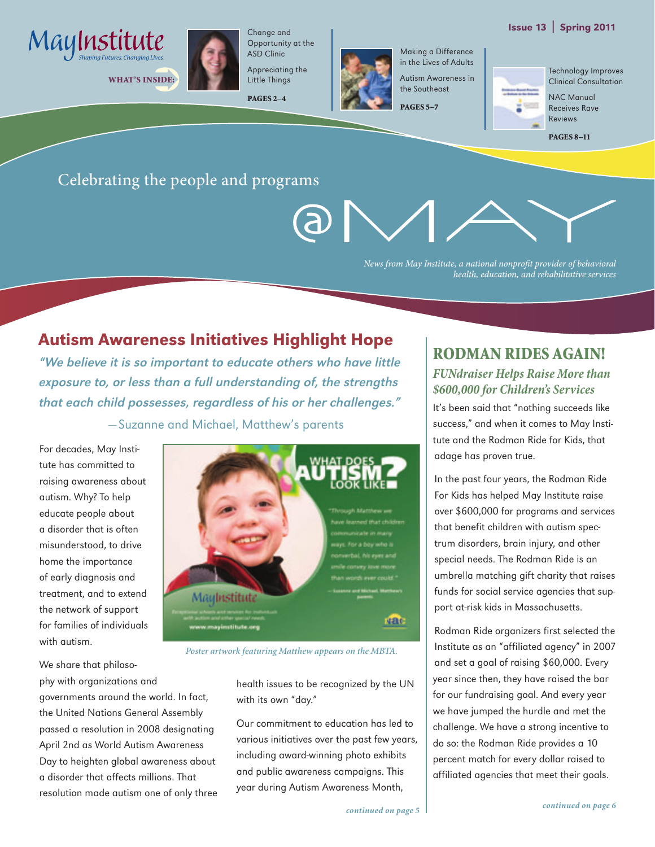#### Issue 13 | Spring 2011



WHAT'S INSIDE:



Change and Opportunity at the ASD Clinic Appreciating the

PAGES 2–4



Making a Difference in the Lives of Adults Autism Awareness in the Southeast

PAGES 5–7



Technology Improves Clinical Consultation

NAC Manual Receives Rave Reviews

PAGES 8–11

#### Celebrating the people and programs

*News from May Institute, a national nonprofit provider of behavioral health, education, and rehabilitative services*

#### Autism Awareness Initiatives Highlight Hope

"We believe it is so important to educate others who have little exposure to, or less than a full understanding of, the strengths that each child possesses, regardless of his or her challenges." —Suzanne and Michael, Matthew's parents

For decades, May Institute has committed to raising awareness about autism. Why? To help educate people about a disorder that is often misunderstood, to drive home the importance of early diagnosis and treatment, and to extend the network of support for families of individuals with autism.

We share that philosophy with organizations and governments around the world. In fact, the United Nations General Assembly passed a resolution in 2008 designating April 2nd as World Autism Awareness Day to heighten global awareness about a disorder that affects millions. That resolution made autism one of only three



*Poster artwork featuring Matthew appears on the MBTA.*

health issues to be recognized by the UN with its own "day."

Our commitment to education has led to various initiatives over the past few years, including award-winning photo exhibits and public awareness campaigns. This year during Autism Awareness Month,

#### Rodman Rides Again! *FUNdraiser Helps Raise More than \$600,000 for Children's Services*

It's been said that "nothing succeeds like success," and when it comes to May Institute and the Rodman Ride for Kids, that adage has proven true.

In the past four years, the Rodman Ride For Kids has helped May Institute raise over \$600,000 for programs and services that benefit children with autism spectrum disorders, brain injury, and other special needs. The Rodman Ride is an umbrella matching gift charity that raises funds for social service agencies that support at-risk kids in Massachusetts.

Rodman Ride organizers first selected the Institute as an "affiliated agency" in 2007 and set a goal of raising \$60,000. Every year since then, they have raised the bar for our fundraising goal. And every year we have jumped the hurdle and met the challenge. We have a strong incentive to do so: the Rodman Ride provides a 10 percent match for every dollar raised to affiliated agencies that meet their goals.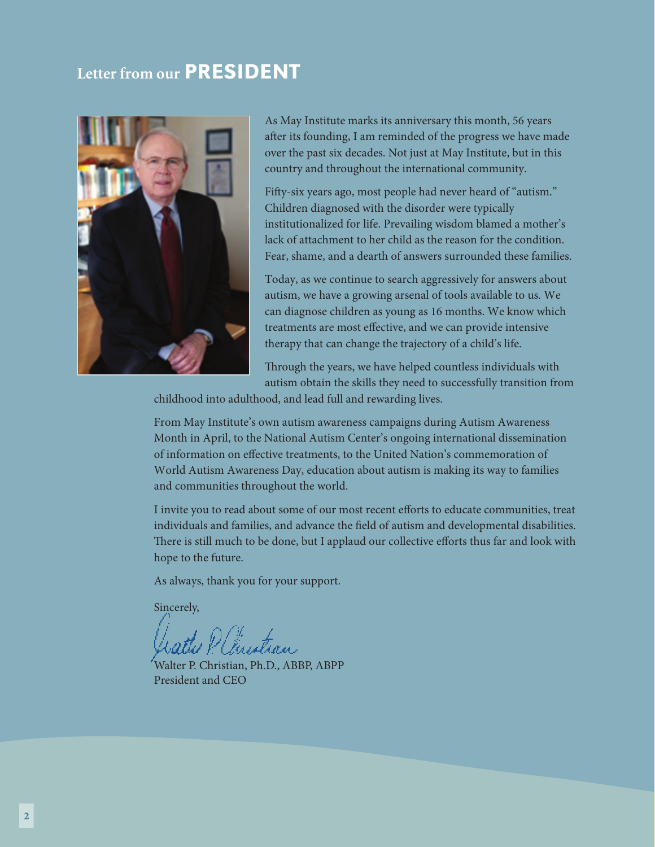#### **Letter from our PRESIDENT**



As May Institute marks its anniversary this month, 56 years after its founding, I am reminded of the progress we have made over the past six decades. Not just at May Institute, but in this country and throughout the international community.

Fifty-six years ago, most people had never heard of "autism." Children diagnosed with the disorder were typically institutionalized for life. Prevailing wisdom blamed a mother's lack of attachment to her child as the reason for the condition. Fear, shame, and a dearth of answers surrounded these families.

Today, as we continue to search aggressively for answers about autism, we have a growing arsenal of tools available to us. We can diagnose children as young as 16 months. We know which treatments are most effective, and we can provide intensive therapy that can change the trajectory of a child's life.

Through the years, we have helped countless individuals with autism obtain the skills they need to successfully transition from

childhood into adulthood, and lead full and rewarding lives.

From May Institute's own autism awareness campaigns during Autism Awareness Month in April, to the National Autism Center's ongoing international dissemination of information on effective treatments, to the United Nation's commemoration of World Autism Awareness Day, education about autism is making its way to families and communities throughout the world.

I invite you to read about some of our most recent efforts to educate communities, treat individuals and families, and advance the field of autism and developmental disabilities. There is still much to be done, but I applaud our collective efforts thus far and look with hope to the future.

As always, thank you for your support.

Sincerely,

Paustrau

Walter P. Christian, Ph.D., ABBP, ABPP President and CEO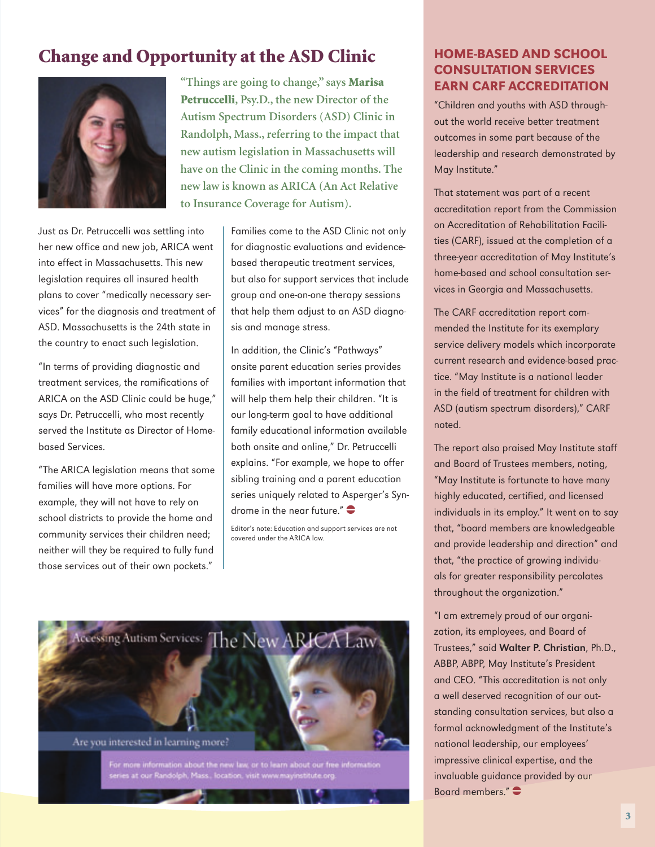### Change and Opportunity at the ASD Clinic HOME-BASED AND SCHOOL



Just as Dr. Petruccelli was settling into her new office and new job, ARICA went into effect in Massachusetts. This new legislation requires all insured health plans to cover "medically necessary services" for the diagnosis and treatment of ASD. Massachusetts is the 24th state in the country to enact such legislation.

"In terms of providing diagnostic and treatment services, the ramifications of ARICA on the ASD Clinic could be huge," says Dr. Petruccelli, who most recently served the Institute as Director of Homebased Services.

"The ARICA legislation means that some families will have more options. For example, they will not have to rely on school districts to provide the home and community services their children need; neither will they be required to fully fund those services out of their own pockets."

**"Things are going to change," says** Marisa Petruccelli**, Psy.D., the new Director of the Autism Spectrum Disorders (ASD) Clinic in Randolph, Mass., referring to the impact that new autism legislation in Massachusetts will have on the Clinic in the coming months. The new law is known as ARICA (An Act Relative to Insurance Coverage for Autism).**

> Families come to the ASD Clinic not only for diagnostic evaluations and evidencebased therapeutic treatment services, but also for support services that include group and one-on-one therapy sessions that help them adjust to an ASD diagnosis and manage stress.

> In addition, the Clinic's "Pathways" onsite parent education series provides families with important information that will help them help their children. "It is our long-term goal to have additional family educational information available both onsite and online," Dr. Petruccelli explains. "For example, we hope to offer sibling training and a parent education series uniquely related to Asperger's Syndrome in the near future." $\bullet$

Editor's note: Education and support services are not covered under the ARICA law.



## Consultation Services Earn CARF Accreditation

"Children and youths with ASD throughout the world receive better treatment outcomes in some part because of the leadership and research demonstrated by May Institute."

That statement was part of a recent accreditation report from the Commission on Accreditation of Rehabilitation Facilities (CARF), issued at the completion of a three-year accreditation of May Institute's home-based and school consultation services in Georgia and Massachusetts.

The CARF accreditation report commended the Institute for its exemplary service delivery models which incorporate current research and evidence-based practice. "May Institute is a national leader in the field of treatment for children with ASD (autism spectrum disorders)," CARF noted.

The report also praised May Institute staff and Board of Trustees members, noting, "May Institute is fortunate to have many highly educated, certified, and licensed individuals in its employ." It went on to say that, "board members are knowledgeable and provide leadership and direction" and that, "the practice of growing individuals for greater responsibility percolates throughout the organization."

"I am extremely proud of our organization, its employees, and Board of Trustees," said Walter P. Christian, Ph.D., ABBP, ABPP, May Institute's President and CEO. "This accreditation is not only a well deserved recognition of our outstanding consultation services, but also a formal acknowledgment of the Institute's national leadership, our employees' impressive clinical expertise, and the invaluable guidance provided by our Board members." $\bullet$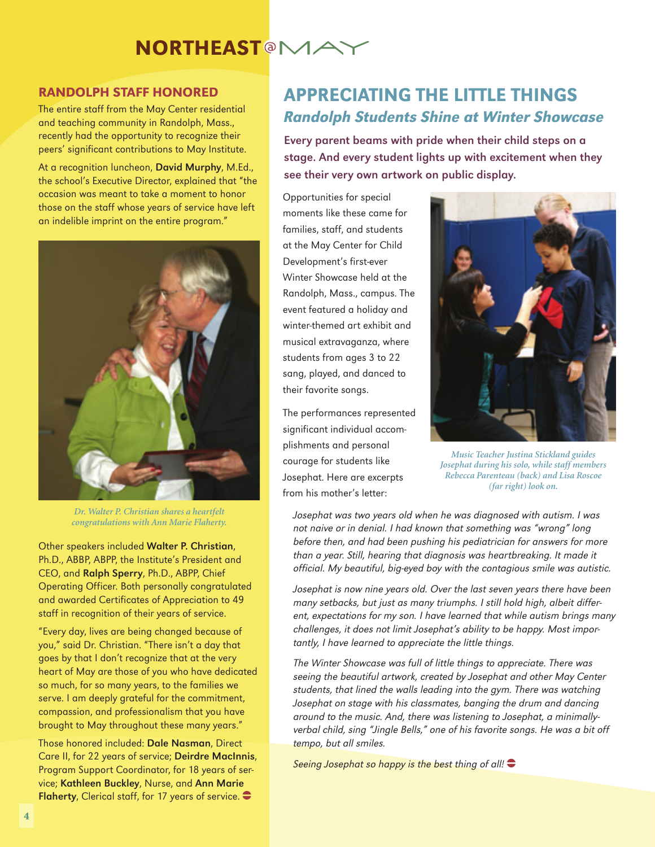# **NORTHEAST<sup>@</sup>MA**

#### Randolph Staff Honored

The entire staff from the May Center residential and teaching community in Randolph, Mass., recently had the opportunity to recognize their peers' significant contributions to May Institute.

At a recognition luncheon, David Murphy, M.Ed., the school's Executive Director, explained that "the occasion was meant to take a moment to honor those on the staff whose years of service have left an indelible imprint on the entire program."



*Dr. Walter P. Christian shares a heartfelt congratulations with Ann Marie Flaherty.*

Other speakers included Walter P. Christian, Ph.D., ABBP, ABPP, the Institute's President and CEO, and Ralph Sperry, Ph.D., ABPP, Chief Operating Officer. Both personally congratulated and awarded Certificates of Appreciation to 49 staff in recognition of their years of service.

"Every day, lives are being changed because of you," said Dr. Christian. "There isn't a day that goes by that I don't recognize that at the very heart of May are those of you who have dedicated so much, for so many years, to the families we serve. I am deeply grateful for the commitment, compassion, and professionalism that you have brought to May throughout these many years."

Those honored included: Dale Nasman, Direct Care II, for 22 years of service; Deirdre MacInnis, Program Support Coordinator, for 18 years of service; Kathleen Buckley, Nurse, and Ann Marie Flaherty, Clerical staff, for 17 years of service.  $\bullet$ 

#### **APPRECIATING THE LITTLE THINGS** Randolph Students Shine at Winter Showcase

Every parent beams with pride when their child steps on a stage. And every student lights up with excitement when they see their very own artwork on public display.

Opportunities for special moments like these came for families, staff, and students at the May Center for Child Development's first-ever Winter Showcase held at the Randolph, Mass., campus. The event featured a holiday and winter-themed art exhibit and musical extravaganza, where students from ages 3 to 22 sang, played, and danced to their favorite songs.

The performances represented significant individual accomplishments and personal courage for students like Josephat. Here are excerpts from his mother's letter:



*Music Teacher Justina Stickland guides Josephat during his solo, while staff members Rebecca Parenteau (back) and Lisa Roscoe (far right) look on.*

Josephat was two years old when he was diagnosed with autism. I was not naive or in denial. I had known that something was "wrong" long before then, and had been pushing his pediatrician for answers for more than a year. Still, hearing that diagnosis was heartbreaking. It made it official. My beautiful, big-eyed boy with the contagious smile was autistic.

Josephat is now nine years old. Over the last seven years there have been many setbacks, but just as many triumphs. I still hold high, albeit different, expectations for my son. I have learned that while autism brings many challenges, it does not limit Josephat's ability to be happy. Most importantly, I have learned to appreciate the little things.

The Winter Showcase was full of little things to appreciate. There was seeing the beautiful artwork, created by Josephat and other May Center students, that lined the walls leading into the gym. There was watching Josephat on stage with his classmates, banging the drum and dancing around to the music. And, there was listening to Josephat, a minimallyverbal child, sing "Jingle Bells," one of his favorite songs. He was a bit off tempo, but all smiles.

Seeing Josephat so happy is the best thing of all!  $\bullet$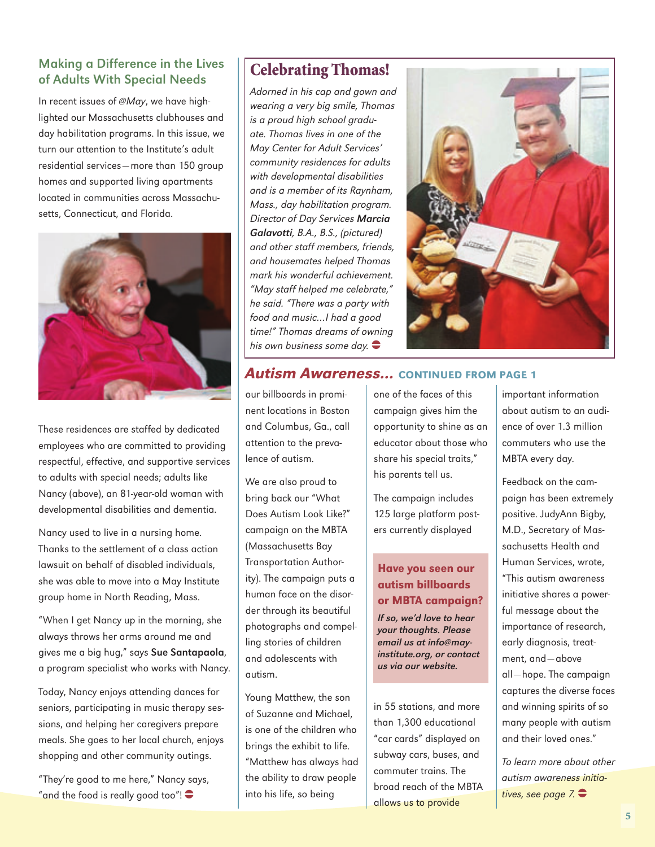#### Making a Difference in the Lives of Adults With Special Needs

In recent issues of @May, we have highlighted our Massachusetts clubhouses and day habilitation programs. In this issue, we turn our attention to the Institute's adult residential services—more than 150 group homes and supported living apartments located in communities across Massachusetts, Connecticut, and Florida.



These residences are staffed by dedicated employees who are committed to providing respectful, effective, and supportive services to adults with special needs; adults like Nancy (above), an 81-year-old woman with developmental disabilities and dementia.

Nancy used to live in a nursing home. Thanks to the settlement of a class action lawsuit on behalf of disabled individuals, she was able to move into a May Institute group home in North Reading, Mass.

"When I get Nancy up in the morning, she always throws her arms around me and gives me a big hug," says Sue Santapaola, a program specialist who works with Nancy.

Today, Nancy enjoys attending dances for seniors, participating in music therapy sessions, and helping her caregivers prepare meals. She goes to her local church, enjoys shopping and other community outings.

"They're good to me here," Nancy says, "and the food is really good too"! $\bullet$ 

#### Celebrating Thomas!

Adorned in his cap and gown and wearing a very big smile, Thomas is a proud high school graduate. Thomas lives in one of the May Center for Adult Services' community residences for adults with developmental disabilities and is a member of its Raynham, Mass., day habilitation program. Director of Day Services Marcia Galavotti, B.A., B.S., (pictured) and other staff members, friends, and housemates helped Thomas mark his wonderful achievement. "May staff helped me celebrate," he said. "There was a party with food and music…I had a good time!" Thomas dreams of owning his own business some day.  $\bullet$ 



#### Autism Awareness... continued from page 1

our billboards in prominent locations in Boston and Columbus, Ga., call attention to the prevalence of autism.

We are also proud to bring back our "What Does Autism Look Like?" campaign on the MBTA (Massachusetts Bay Transportation Authority). The campaign puts a human face on the disorder through its beautiful photographs and compelling stories of children and adolescents with autism.

Young Matthew, the son of Suzanne and Michael, is one of the children who brings the exhibit to life. "Matthew has always had the ability to draw people into his life, so being

one of the faces of this campaign gives him the opportunity to shine as an educator about those who share his special traits," his parents tell us.

The campaign includes 125 large platform posters currently displayed

#### Have you seen our autism billboards or MBTA campaign?

If so, we'd love to hear your thoughts. Please email us at info@mayinstitute.org, or contact us via our website.

in 55 stations, and more than 1,300 educational "car cards" displayed on subway cars, buses, and commuter trains. The broad reach of the MBTA allows us to provide

important information about autism to an audience of over 1.3 million commuters who use the MBTA every day.

Feedback on the campaign has been extremely positive. JudyAnn Bigby, M.D., Secretary of Massachusetts Health and Human Services, wrote, "This autism awareness initiative shares a powerful message about the importance of research, early diagnosis, treatment, and—above all—hope. The campaign captures the diverse faces and winning spirits of so many people with autism and their loved ones."

To learn more about other autism awareness initiatives, see page  $7.$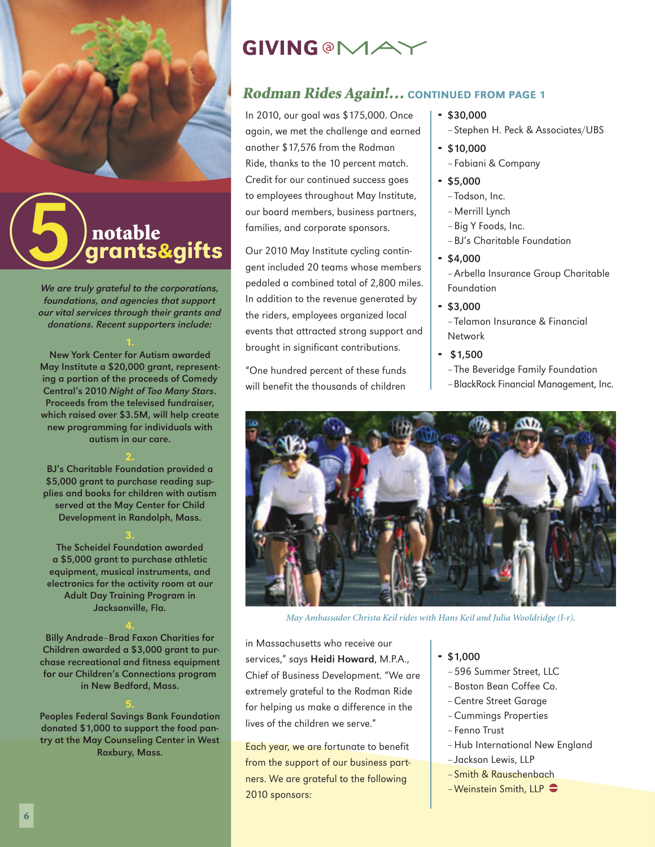

# grants&gifts notable

We are truly grateful to the corporations, foundations, and agencies that support our vital services through their grants and donations. Recent supporters include:

New York Center for Autism awarded May Institute a \$20,000 grant, representing a portion of the proceeds of Comedy Central's 2010 Night of Too Many Stars. Proceeds from the televised fundraiser, which raised over \$3.5M, will help create new programming for individuals with autism in our care.

BJ's Charitable Foundation provided a \$5,000 grant to purchase reading supplies and books for children with autism served at the May Center for Child Development in Randolph, Mass.

The Scheidel Foundation awarded a \$5,000 grant to purchase athletic equipment, musical instruments, and electronics for the activity room at our Adult Day Training Program in Jacksonville, Fla.

Billy Andrade–Brad Faxon Charities for Children awarded a \$3,000 grant to purchase recreational and fitness equipment for our Children's Connections program in New Bedford, Mass.

Peoples Federal Savings Bank Foundation donated \$1,000 to support the food pantry at the May Counseling Center in West Roxbury, Mass.

# **GIVING @MAX**

#### Rodman Rides Again !... CONTINUED FROM PAGE 1

In 2010, our goal was \$175,000. Once again, we met the challenge and earned another \$17,576 from the Rodman Ride, thanks to the 10 percent match. Credit for our continued success goes to employees throughout May Institute, our board members, business partners, families, and corporate sponsors.

Our 2010 May Institute cycling contingent included 20 teams whose members pedaled a combined total of 2,800 miles. In addition to the revenue generated by the riders, employees organized local events that attracted strong support and brought in significant contributions.

"One hundred percent of these funds will benefit the thousands of children

- $-$ \$30,000
	- Stephen H. Peck & Associates/UBS
- $-$  \$10,000
	- Fabiani & Company
- $-$ \$5,000
	- Todson, Inc.
	- Merrill Lynch
	- Big Y Foods, Inc.
	- BJ's Charitable Foundation
- $-$ \$4,000

– Arbella Insurance Group Charitable Foundation

 $-$ \$3,000

– Telamon Insurance & Financial Network

- $-$ \$1.500
	- The Beveridge Family Foundation
	- –BlackRock Financial Management, Inc.



*May Ambassador Christa Keil rides with Hans Keil and Julia Wooldridge (l-r).*

in Massachusetts who receive our services," says Heidi Howard, M.P.A., Chief of Business Development. "We are extremely grateful to the Rodman Ride for helping us make a difference in the lives of the children we serve."

Each year, we are fortunate to benefit from the support of our business partners. We are grateful to the following 2010 sponsors:

- $$1,000$ 
	- 596 Summer Street, LLC
	- Boston Bean Coffee Co.
	- Centre Street Garage
	- Cummings Properties
	- Fenno Trust
	- Hub International New England
- Jackson Lewis, LLP
- Smith & Rauschenbach
- $-$  Weinstein Smith, LLP  $\bullet$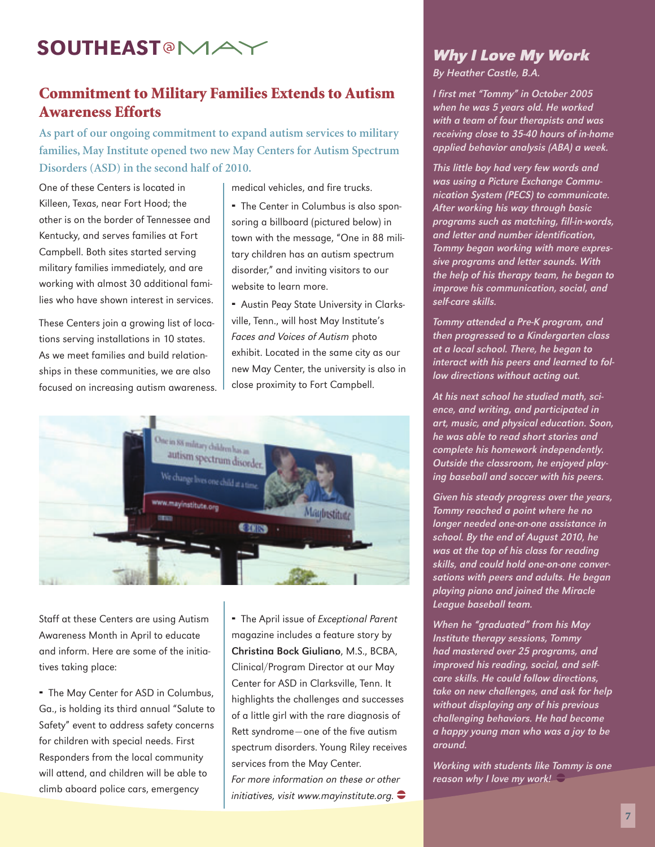# Southeast **Why I Love My Work**

#### Commitment to Military Families Extends to Autism Awareness Efforts

**As part of our ongoing commitment to expand autism services to military families, May Institute opened two new May Centers for Autism Spectrum Disorders (ASD) in the second half of 2010.** 

One of these Centers is located in Killeen, Texas, near Fort Hood; the other is on the border of Tennessee and Kentucky, and serves families at Fort Campbell. Both sites started serving military families immediately, and are working with almost 30 additional families who have shown interest in services.

These Centers join a growing list of locations serving installations in 10 states. As we meet families and build relationships in these communities, we are also focused on increasing autism awareness. medical vehicles, and fire trucks.

 The Center in Columbus is also sponsoring a billboard (pictured below) in town with the message, "One in 88 military children has an autism spectrum disorder," and inviting visitors to our website to learn more.

 Austin Peay State University in Clarksville, Tenn., will host May Institute's Faces and Voices of Autism photo exhibit. Located in the same city as our new May Center, the university is also in close proximity to Fort Campbell.



Staff at these Centers are using Autism Awareness Month in April to educate and inform. Here are some of the initiatives taking place:

- The May Center for ASD in Columbus, Ga., is holding its third annual "Salute to Safety" event to address safety concerns for children with special needs. First Responders from the local community will attend, and children will be able to climb aboard police cars, emergency

The April issue of Exceptional Parent magazine includes a feature story by Christina Bock Giuliano, M.S., BCBA, Clinical/Program Director at our May Center for ASD in Clarksville, Tenn. It highlights the challenges and successes of a little girl with the rare diagnosis of Rett syndrome—one of the five autism spectrum disorders. Young Riley receives services from the May Center. For more information on these or other initiatives, visit www.mayinstitute.org.  $\bullet$ 

# By Heather Castle, B.A.

I first met "Tommy" in October 2005 when he was 5 years old. He worked with a team of four therapists and was receiving close to 35-40 hours of in-home applied behavior analysis (ABA) a week.

This little boy had very few words and was using a Picture Exchange Communication System (PECS) to communicate. After working his way through basic programs such as matching, fill-in-words, and letter and number identification, Tommy began working with more expressive programs and letter sounds. With the help of his therapy team, he began to improve his communication, social, and self-care skills.

Tommy attended a Pre-K program, and then progressed to a Kindergarten class at a local school. There, he began to interact with his peers and learned to follow directions without acting out.

At his next school he studied math, science, and writing, and participated in art, music, and physical education. Soon, he was able to read short stories and complete his homework independently. Outside the classroom, he enjoyed playing baseball and soccer with his peers.

Given his steady progress over the years, Tommy reached a point where he no longer needed one-on-one assistance in school. By the end of August 2010, he was at the top of his class for reading skills, and could hold one-on-one conversations with peers and adults. He began playing piano and joined the Miracle League baseball team.

When he "graduated" from his May Institute therapy sessions, Tommy had mastered over 25 programs, and improved his reading, social, and selfcare skills. He could follow directions, take on new challenges, and ask for help without displaying any of his previous challenging behaviors. He had become a happy young man who was a joy to be around.

Working with students like Tommy is one reason why I love my work!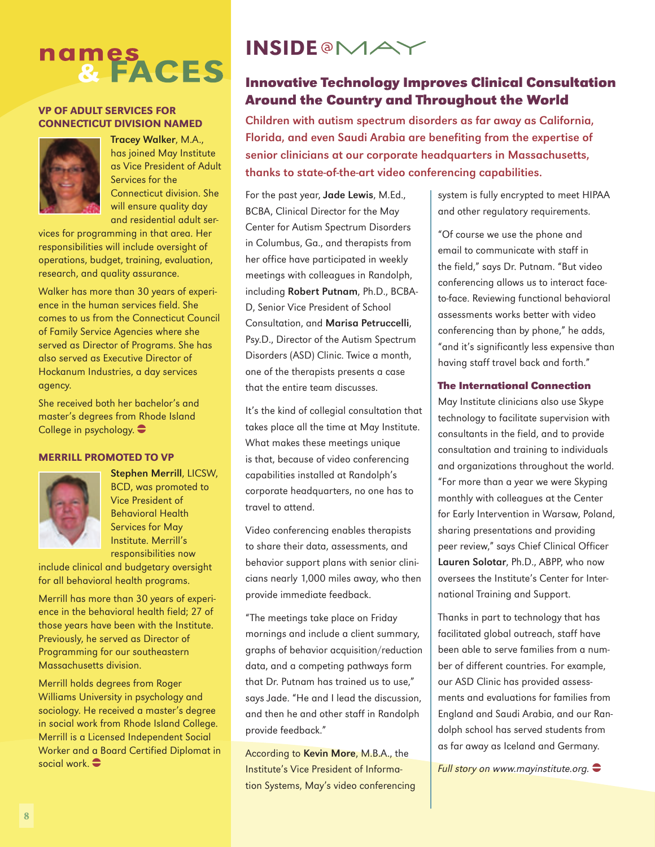# names<br>& FACES

#### VP of Adult Services for Connecticut Division Named



Tracey Walker, M.A., has joined May Institute as Vice President of Adult Services for the Connecticut division. She will ensure quality day and residential adult ser-

vices for programming in that area. Her responsibilities will include oversight of operations, budget, training, evaluation, research, and quality assurance.

Walker has more than 30 years of experience in the human services field. She comes to us from the Connecticut Council of Family Service Agencies where she served as Director of Programs. She has also served as Executive Director of Hockanum Industries, a day services agency.

She received both her bachelor's and master's degrees from Rhode Island College in psychology.  $\bullet$ 

#### Merrill promoted to VP



Stephen Merrill, LICSW, BCD, was promoted to Vice President of Behavioral Health Services for May Institute. Merrill's responsibilities now

include clinical and budgetary oversight for all behavioral health programs.

Merrill has more than 30 years of experience in the behavioral health field; 27 of those years have been with the Institute. Previously, he served as Director of Programming for our southeastern Massachusetts division.

Merrill holds degrees from Roger Williams University in psychology and sociology. He received a master's degree in social work from Rhode Island College. Merrill is a Licensed Independent Social Worker and a Board Certified Diplomat in social work.  $\bullet$ 

## **INSIDE@MAY**

#### **Innovative Technology Improves Clinical Consultation Around the Country and Throughout the World**

Children with autism spectrum disorders as far away as California, Florida, and even Saudi Arabia are benefiting from the expertise of senior clinicians at our corporate headquarters in Massachusetts, thanks to state-of-the-art video conferencing capabilities.

For the past year, Jade Lewis, M.Ed., BCBA, Clinical Director for the May Center for Autism Spectrum Disorders in Columbus, Ga., and therapists from her office have participated in weekly meetings with colleagues in Randolph, including Robert Putnam, Ph.D., BCBA-D, Senior Vice President of School Consultation, and Marisa Petruccelli, Psy.D., Director of the Autism Spectrum Disorders (ASD) Clinic. Twice a month, one of the therapists presents a case that the entire team discusses.

It's the kind of collegial consultation that takes place all the time at May Institute. What makes these meetings unique is that, because of video conferencing capabilities installed at Randolph's corporate headquarters, no one has to travel to attend.

Video conferencing enables therapists to share their data, assessments, and behavior support plans with senior clinicians nearly 1,000 miles away, who then provide immediate feedback.

"The meetings take place on Friday mornings and include a client summary, graphs of behavior acquisition/reduction data, and a competing pathways form that Dr. Putnam has trained us to use," says Jade. "He and I lead the discussion, and then he and other staff in Randolph provide feedback."

According to Kevin More, M.B.A., the Institute's Vice President of Information Systems, May's video conferencing system is fully encrypted to meet HIPAA and other regulatory requirements.

"Of course we use the phone and email to communicate with staff in the field," says Dr. Putnam. "But video conferencing allows us to interact faceto-face. Reviewing functional behavioral assessments works better with video conferencing than by phone," he adds, "and it's significantly less expensive than having staff travel back and forth."

#### **The International Connection**

May Institute clinicians also use Skype technology to facilitate supervision with consultants in the field, and to provide consultation and training to individuals and organizations throughout the world. "For more than a year we were Skyping monthly with colleagues at the Center for Early Intervention in Warsaw, Poland, sharing presentations and providing peer review," says Chief Clinical Officer Lauren Solotar, Ph.D., ABPP, who now oversees the Institute's Center for International Training and Support.

Thanks in part to technology that has facilitated global outreach, staff have been able to serve families from a number of different countries. For example, our ASD Clinic has provided assessments and evaluations for families from England and Saudi Arabia, and our Randolph school has served students from as far away as Iceland and Germany.

Full story on www.mayinstitute.org.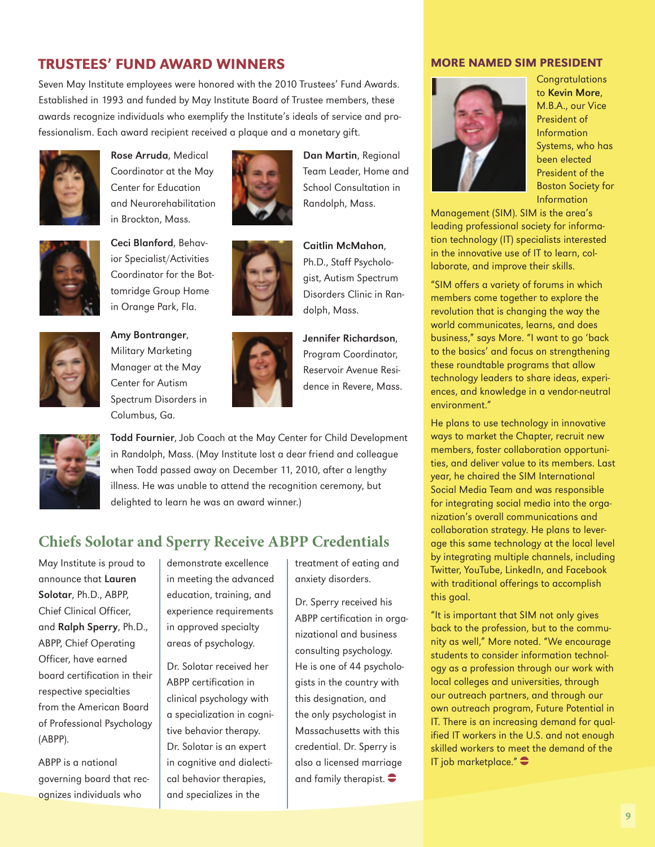#### Trustees' Fund Award Winners

Seven May Institute employees were honored with the 2010 Trustees' Fund Awards. Established in 1993 and funded by May Institute Board of Trustee members, these awards recognize individuals who exemplify the Institute's ideals of service and professionalism. Each award recipient received a plaque and a monetary gift.



Rose Arruda, Medical Coordinator at the May Center for Education and Neurorehabilitation in Brockton, Mass.



Ceci Blanford, Behavior Specialist/Activities Coordinator for the Bottomridge Group Home in Orange Park, Fla.



Amy Bontranger, Military Marketing Manager at the May Center for Autism Spectrum Disorders in Columbus, Ga.



dolph, Mass. Jennifer Richardson, Program Coordinator, Reservoir Avenue Resi-

dence in Revere, Mass.

Dan Martin, Regional Team Leader, Home and School Consultation in Randolph, Mass.

Caitlin McMahon, Ph.D., Staff Psychologist, Autism Spectrum Disorders Clinic in Ran-



Todd Fournier, Job Coach at the May Center for Child Development in Randolph, Mass. (May Institute lost a dear friend and colleague when Todd passed away on December 11, 2010, after a lengthy illness. He was unable to attend the recognition ceremony, but delighted to learn he was an award winner.)

#### **Chiefs Solotar and Sperry Receive ABPP Credentials**

May Institute is proud to announce that Lauren Solotar, Ph.D., ABPP, Chief Clinical Officer, and Ralph Sperry, Ph.D., ABPP, Chief Operating Officer, have earned board certification in their respective specialties from the American Board of Professional Psychology (ABPP).

ABPP is a national governing board that recognizes individuals who

demonstrate excellence in meeting the advanced education, training, and experience requirements in approved specialty areas of psychology.

Dr. Solotar received her ABPP certification in clinical psychology with a specialization in cognitive behavior therapy. Dr. Solotar is an expert in cognitive and dialectical behavior therapies, and specializes in the

treatment of eating and anxiety disorders.

Dr. Sperry received his ABPP certification in organizational and business consulting psychology. He is one of 44 psychologists in the country with this designation, and the only psychologist in Massachusetts with this credential. Dr. Sperry is also a licensed marriage and family therapist.  $\bullet$ 

#### More Named SIM President



**Congratulations** to Kevin More, M.B.A., our Vice President of Information Systems, who has been elected President of the Boston Society for Information

Management (SIM). SIM is the area's leading professional society for information technology (IT) specialists interested in the innovative use of IT to learn, collaborate, and improve their skills.

"SIM offers a variety of forums in which members come together to explore the revolution that is changing the way the world communicates, learns, and does business," says More. "I want to go 'back to the basics' and focus on strengthening these roundtable programs that allow technology leaders to share ideas, experiences, and knowledge in a vendor-neutral environment."

He plans to use technology in innovative ways to market the Chapter, recruit new members, foster collaboration opportunities, and deliver value to its members. Last year, he chaired the SIM International Social Media Team and was responsible for integrating social media into the organization's overall communications and collaboration strategy. He plans to leverage this same technology at the local level by integrating multiple channels, including Twitter, YouTube, LinkedIn, and Facebook with traditional offerings to accomplish this goal.

"It is important that SIM not only gives back to the profession, but to the community as well," More noted. "We encourage students to consider information technology as a profession through our work with local colleges and universities, through our outreach partners, and through our own outreach program, Future Potential in IT. There is an increasing demand for qualified IT workers in the U.S. and not enough skilled workers to meet the demand of the IT job marketplace." $\bigcirc$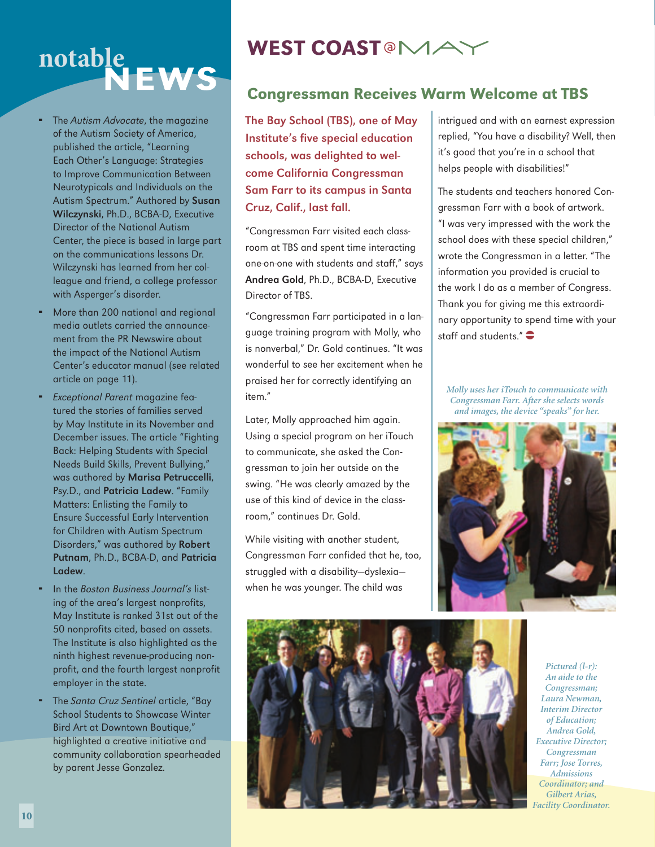# notable<br>NEWS

- The Autism Advocate, the magazine of the Autism Society of America, published the article, "Learning Each Other's Language: Strategies to Improve Communication Between Neurotypicals and Individuals on the Autism Spectrum." Authored by Susan Wilczynski, Ph.D., BCBA-D, Executive Director of the National Autism Center, the piece is based in large part on the communications lessons Dr. Wilczynski has learned from her colleague and friend, a college professor with Asperger's disorder.
- More than 200 national and regional media outlets carried the announcement from the PR Newswire about the impact of the National Autism Center's educator manual (see related article on page 11).
- Exceptional Parent magazine featured the stories of families served by May Institute in its November and December issues. The article "Fighting Back: Helping Students with Special Needs Build Skills, Prevent Bullying," was authored by Marisa Petruccelli, Psy.D., and Patricia Ladew. "Family Matters: Enlisting the Family to Ensure Successful Early Intervention for Children with Autism Spectrum Disorders," was authored by Robert Putnam, Ph.D., BCBA-D, and Patricia Ladew.
- In the Boston Business Journal's listing of the area's largest nonprofits, May Institute is ranked 31st out of the 50 nonprofits cited, based on assets. The Institute is also highlighted as the ninth highest revenue-producing nonprofit, and the fourth largest nonprofit employer in the state.
- The Santa Cruz Sentinel article, "Bay School Students to Showcase Winter Bird Art at Downtown Boutique," highlighted a creative initiative and community collaboration spearheaded by parent Jesse Gonzalez.

# WEST COAST  $\text{MA}$

#### Congressman Receives Warm Welcome at TBS

The Bay School (TBS), one of May Institute's five special education schools, was delighted to welcome California Congressman Sam Farr to its campus in Santa Cruz, Calif., last fall.

"Congressman Farr visited each classroom at TBS and spent time interacting one-on-one with students and staff," says Andrea Gold, Ph.D., BCBA-D, Executive Director of TBS.

"Congressman Farr participated in a language training program with Molly, who is nonverbal," Dr. Gold continues. "It was wonderful to see her excitement when he praised her for correctly identifying an item."

Later, Molly approached him again. Using a special program on her iTouch to communicate, she asked the Congressman to join her outside on the swing. "He was clearly amazed by the use of this kind of device in the classroom," continues Dr. Gold.

While visiting with another student, Congressman Farr confided that he, too, struggled with a disability—dyslexia when he was younger. The child was

intrigued and with an earnest expression replied, "You have a disability? Well, then it's good that you're in a school that helps people with disabilities!"

The students and teachers honored Congressman Farr with a book of artwork. "I was very impressed with the work the school does with these special children," wrote the Congressman in a letter. "The information you provided is crucial to the work I do as a member of Congress. Thank you for giving me this extraordinary opportunity to spend time with your staff and students."  $\bullet$ 

*Molly uses her iTouch to communicate with Congressman Farr. After she selects words and images, the device "speaks" for her.*





*Pictured (l-r): An aide to the Congressman; Laura Newman, Interim Director of Education; Andrea Gold, Executive Director; Congressman Farr; Jose Torres, Admissions Coordinator; and Gilbert Arias, Facility Coordinator.*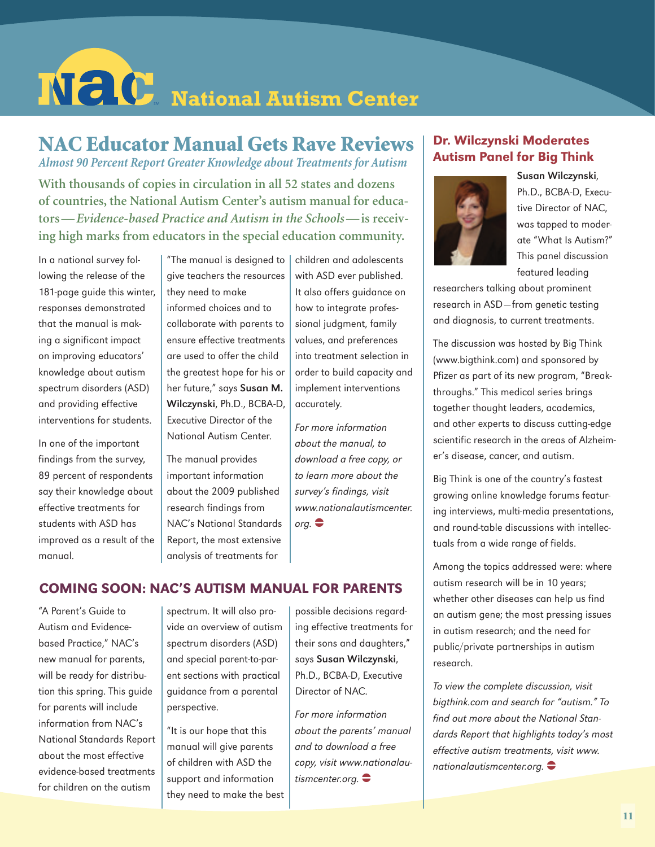# $N$   $C$  National Autism Center

# NAC Educator Manual Gets Rave Reviews

*Almost 90 Percent Report Greater Knowledge about Treatments for Autism*

**With thousands of copies in circulation in all 52 states and dozens of countries, the National Autism Center's autism manual for educators—***Evidence-based Practice and Autism in the Schools***—is receiving high marks from educators in the special education community.**

In a national survey following the release of the 181-page guide this winter, responses demonstrated that the manual is making a significant impact on improving educators' knowledge about autism spectrum disorders (ASD) and providing effective interventions for students.

In one of the important findings from the survey, 89 percent of respondents say their knowledge about effective treatments for students with ASD has improved as a result of the manual.

"The manual is designed to give teachers the resources they need to make informed choices and to collaborate with parents to ensure effective treatments are used to offer the child the greatest hope for his or her future," says Susan M. Wilczynski, Ph.D., BCBA-D, Executive Director of the National Autism Center.

The manual provides important information about the 2009 published research findings from NAC's National Standards Report, the most extensive analysis of treatments for

children and adolescents with ASD ever published. It also offers guidance on how to integrate professional judgment, family values, and preferences into treatment selection in order to build capacity and implement interventions accurately.

For more information about the manual, to download a free copy, or to learn more about the survey's findings, visit www.nationalautismcenter.  $\mathsf{orq.} \bigoplus$ 

#### Coming Soon: NAC's Autism Manual for Parents

"A Parent's Guide to Autism and Evidencebased Practice," NAC's new manual for parents, will be ready for distribution this spring. This guide for parents will include information from NAC's National Standards Report about the most effective evidence-based treatments for children on the autism

spectrum. It will also provide an overview of autism spectrum disorders (ASD) and special parent-to-parent sections with practical guidance from a parental perspective.

"It is our hope that this manual will give parents of children with ASD the support and information they need to make the best

possible decisions regarding effective treatments for their sons and daughters," says Susan Wilczynski, Ph.D., BCBA-D, Executive Director of NAC.

For more information about the parents' manual and to download a free copy, visit www.nationalautismcenter.org.  $\bullet$ 

#### Dr. Wilczynski Moderates Autism Panel for Big Think



Susan Wilczynski, Ph.D., BCBA-D, Executive Director of NAC, was tapped to moderate "What Is Autism?" This panel discussion featured leading

researchers talking about prominent research in ASD—from genetic testing and diagnosis, to current treatments.

The discussion was hosted by Big Think (www.bigthink.com) and sponsored by Pfizer as part of its new program, "Breakthroughs." This medical series brings together thought leaders, academics, and other experts to discuss cutting-edge scientific research in the areas of Alzheimer's disease, cancer, and autism.

Big Think is one of the country's fastest growing online knowledge forums featuring interviews, multi-media presentations, and round-table discussions with intellectuals from a wide range of fields.

Among the topics addressed were: where autism research will be in 10 years; whether other diseases can help us find an autism gene; the most pressing issues in autism research; and the need for public/private partnerships in autism research.

To view the complete discussion, visit bigthink.com and search for "autism." To find out more about the National Standards Report that highlights today's most effective autism treatments, visit www. nationalautismcenter.org.  $\bullet$